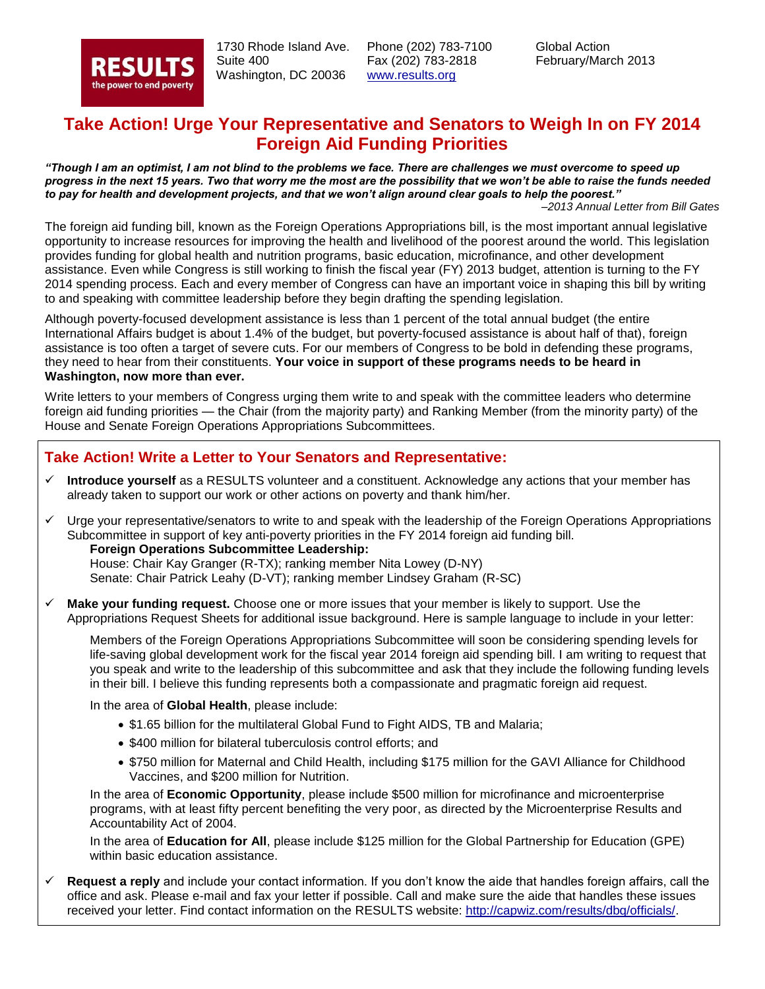

 1730 Rhode Island Ave. Suite 400 Washington, DC 20036

Phone (202) 783-7100 Fax (202) 783-2818 [www.results.org](http://www.results.org/)

Global Action February/March 2013

### **Take Action! Urge Your Representative and Senators to Weigh In on FY 2014 Foreign Aid Funding Priorities**

*"Though I am an optimist, I am not blind to the problems we face. There are challenges we must overcome to speed up progress in the next 15 years. Two that worry me the most are the possibility that we won't be able to raise the funds needed to pay for health and development projects, and that we won't align around clear goals to help the poorest."*

–*2013 Annual Letter from Bill Gates*

The foreign aid funding bill, known as the Foreign Operations Appropriations bill, is the most important annual legislative opportunity to increase resources for improving the health and livelihood of the poorest around the world. This legislation provides funding for global health and nutrition programs, basic education, microfinance, and other development assistance. Even while Congress is still working to finish the fiscal year (FY) 2013 budget, attention is turning to the FY 2014 spending process. Each and every member of Congress can have an important voice in shaping this bill by writing to and speaking with committee leadership before they begin drafting the spending legislation.

Although poverty-focused development assistance is less than 1 percent of the total annual budget (the entire International Affairs budget is about 1.4% of the budget, but poverty-focused assistance is about half of that), foreign assistance is too often a target of severe cuts. For our members of Congress to be bold in defending these programs, they need to hear from their constituents. **Your voice in support of these programs needs to be heard in Washington, now more than ever.**

Write letters to your members of Congress urging them write to and speak with the committee leaders who determine foreign aid funding priorities — the Chair (from the majority party) and Ranking Member (from the minority party) of the House and Senate Foreign Operations Appropriations Subcommittees.

#### **Take Action! Write a Letter to Your Senators and Representative:**

- **Introduce yourself** as a RESULTS volunteer and a constituent. Acknowledge any actions that your member has already taken to support our work or other actions on poverty and thank him/her.
- $\checkmark$  Urge your representative/senators to write to and speak with the leadership of the Foreign Operations Appropriations Subcommittee in support of key anti-poverty priorities in the FY 2014 foreign aid funding bill.

**Foreign Operations Subcommittee Leadership:** House: Chair Kay Granger (R-TX); ranking member Nita Lowey (D-NY) Senate: Chair Patrick Leahy (D-VT); ranking member Lindsey Graham (R-SC)

 **Make your funding request.** Choose one or more issues that your member is likely to support. Use the Appropriations Request Sheets for additional issue background. Here is sample language to include in your letter:

Members of the Foreign Operations Appropriations Subcommittee will soon be considering spending levels for life-saving global development work for the fiscal year 2014 foreign aid spending bill. I am writing to request that you speak and write to the leadership of this subcommittee and ask that they include the following funding levels in their bill. I believe this funding represents both a compassionate and pragmatic foreign aid request.

In the area of **Global Health**, please include:

- \$1.65 billion for the multilateral Global Fund to Fight AIDS, TB and Malaria;
- \$400 million for bilateral tuberculosis control efforts; and
- \$750 million for Maternal and Child Health, including \$175 million for the GAVI Alliance for Childhood Vaccines, and \$200 million for Nutrition.

In the area of **Economic Opportunity**, please include \$500 million for microfinance and microenterprise programs, with at least fifty percent benefiting the very poor, as directed by the Microenterprise Results and Accountability Act of 2004.

In the area of **Education for All**, please include \$125 million for the Global Partnership for Education (GPE) within basic education assistance.

 **Request a reply** and include your contact information. If you don't know the aide that handles foreign affairs, call the office and ask. Please e-mail and fax your letter if possible. Call and make sure the aide that handles these issues received your letter. Find contact information on the RESULTS website: [http://capwiz.com/results/dbq/officials/.](http://capwiz.com/results/dbq/officials/)